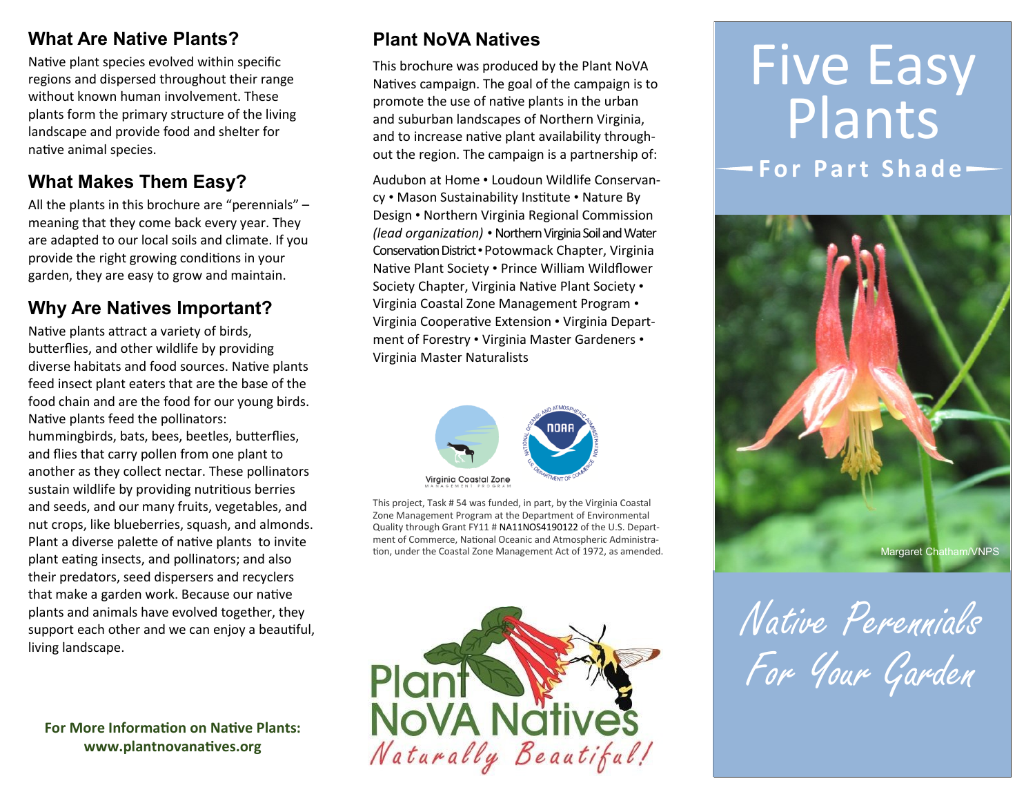### **What Are Native Plants?**

Native plant species evolved within specific regions and dispersed throughout their range without known human involvement. These plants form the primary structure of the living landscape and provide food and shelter for native animal species.

# **What Makes Them Easy?**

All the plants in this brochure are "perennials" – meaning that they come back every year. They are adapted to our local soils and climate. If you provide the right growing conditions in your garden, they are easy to grow and maintain.

## **Why Are Natives Important?**

Native plants attract a variety of birds, butterflies, and other wildlife by providing diverse habitats and food sources. Native plants feed insect plant eaters that are the base of the food chain and are the food for our young birds. Native plants feed the pollinators: hummingbirds, bats, bees, beetles, butterflies, and flies that carry pollen from one plant to another as they collect nectar. These pollinators sustain wildlife by providing nutritious berries and seeds, and our many fruits, vegetables, and nut crops, like blueberries, squash, and almonds. Plant a diverse palette of native plants to invite plant eating insects, and pollinators; and also their predators, seed dispersers and recyclers that make a garden work. Because our native plants and animals have evolved together, they support each other and we can enjoy a beautiful, living landscape.

**For More Information on Native Plants: www.plantnovanatives.org**

# **Plant NoVA Natives**

This brochure was produced by the Plant NoVA Natives campaign. The goal of the campaign is to promote the use of native plants in the urban and suburban landscapes of Northern Virginia, and to increase native plant availability throughout the region. The campaign is a partnership of:

Audubon at Home • Loudoun Wildlife Conservancy • Mason Sustainability Institute • Nature By Design • Northern Virginia Regional Commission *(lead organization) •* Northern Virginia Soil and Water Conservation District •Potowmack Chapter, Virginia Native Plant Society • Prince William Wildflower Society Chapter, Virginia Native Plant Society • Virginia Coastal Zone Management Program • Virginia Cooperative Extension • Virginia Department of Forestry • Virginia Master Gardeners • Virginia Master Naturalists



This project, Task # 54 was funded, in part, by the Virginia Coastal Zone Management Program at the Department of Environmental Quality through Grant FY11 # NA11NOS4190122 of the U.S. Department of Commerce, National Oceanic and Atmospheric Administra-



# Five Easy Plants **For Part Shade-**



Native Perennials For Your Garden